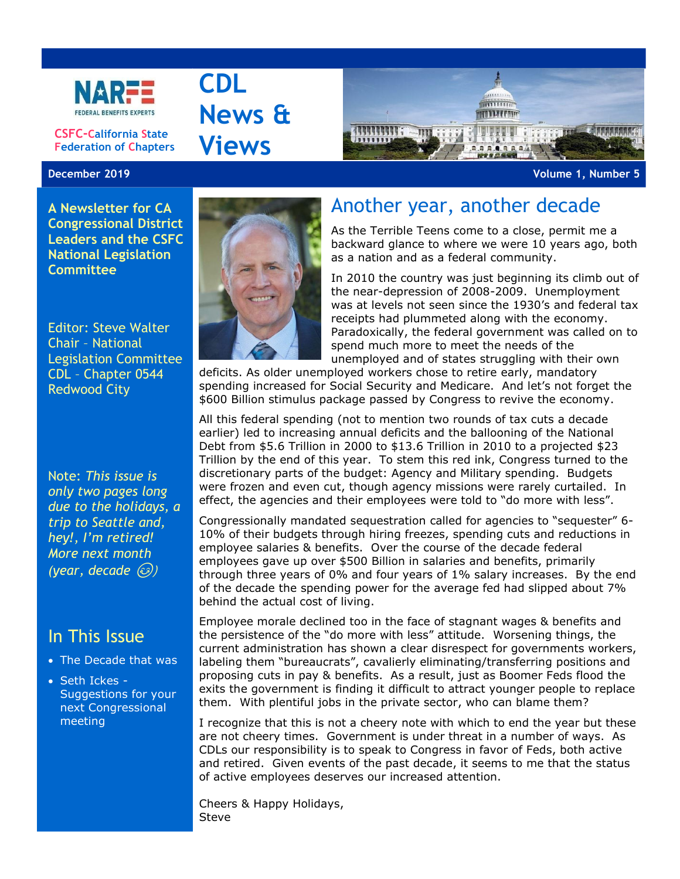

**CSFC-California State Federation of Chapters**

## **December 2019 Volume 1, Number 5**

**A Newsletter for CA Congressional District Leaders and the CSFC National Legislation Committee**

Editor: Steve Walter Chair – National Legislation Committee CDL – Chapter 0544 Redwood City

Note: *This issue is only two pages long due to the holidays, a trip to Seattle and, hey!, I'm retired! More next month*   $(year, decade (3))$ 

## In This Issue

- The Decade that was
- Seth Ickes Suggestions for your next Congressional meeting



**CDL**

**News &**

**Views**

## Another year, another decade

As the Terrible Teens come to a close, permit me a backward glance to where we were 10 years ago, both as a nation and as a federal community.

**STATISTIC HULLAND** 

In 2010 the country was just beginning its climb out of the near-depression of 2008-2009. Unemployment was at levels not seen since the 1930's and federal tax receipts had plummeted along with the economy. Paradoxically, the federal government was called on to spend much more to meet the needs of the unemployed and of states struggling with their own

deficits. As older unemployed workers chose to retire early, mandatory spending increased for Social Security and Medicare. And let's not forget the \$600 Billion stimulus package passed by Congress to revive the economy.

All this federal spending (not to mention two rounds of tax cuts a decade earlier) led to increasing annual deficits and the ballooning of the National Debt from \$5.6 Trillion in 2000 to \$13.6 Trillion in 2010 to a projected \$23 Trillion by the end of this year. To stem this red ink, Congress turned to the discretionary parts of the budget: Agency and Military spending. Budgets were frozen and even cut, though agency missions were rarely curtailed. In effect, the agencies and their employees were told to "do more with less".

Congressionally mandated sequestration called for agencies to "sequester" 6- 10% of their budgets through hiring freezes, spending cuts and reductions in employee salaries & benefits. Over the course of the decade federal employees gave up over \$500 Billion in salaries and benefits, primarily through three years of 0% and four years of 1% salary increases. By the end of the decade the spending power for the average fed had slipped about 7% behind the actual cost of living.

Employee morale declined too in the face of stagnant wages & benefits and the persistence of the "do more with less" attitude. Worsening things, the current administration has shown a clear disrespect for governments workers, labeling them "bureaucrats", cavalierly eliminating/transferring positions and proposing cuts in pay & benefits. As a result, just as Boomer Feds flood the exits the government is finding it difficult to attract younger people to replace them. With plentiful jobs in the private sector, who can blame them?

I recognize that this is not a cheery note with which to end the year but these are not cheery times. Government is under threat in a number of ways. As CDLs our responsibility is to speak to Congress in favor of Feds, both active and retired. Given events of the past decade, it seems to me that the status of active employees deserves our increased attention.

Cheers & Happy Holidays, Steve